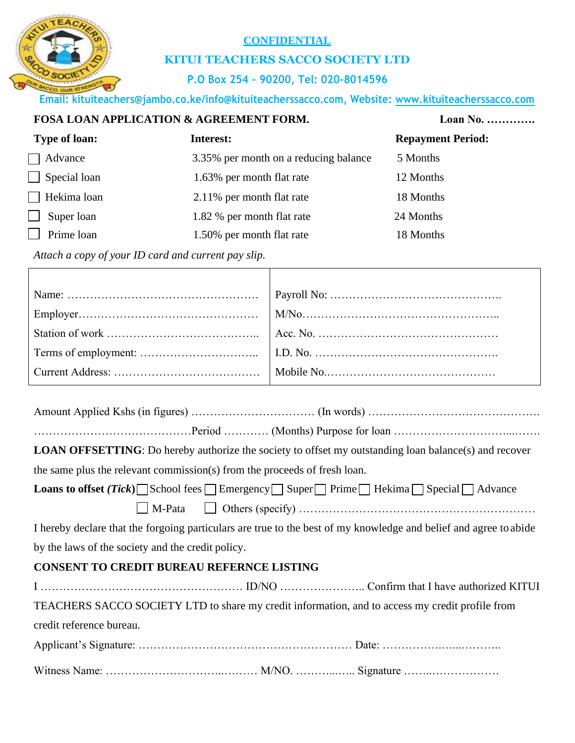# **CONFIDENTIAL**

# **KITUI TEACHERS SACCO SOCIETY LTD**

## **P.O Box 254 – 90200, Tel: 020-8014596**

**Email: kituiteachers@jambo.co.ke/info@kituiteacherssacco.com, Website: [www.kituiteacherssacco.com](http://www.kituiteacherssacco.com/)**

### **FOSA LOAN APPLICATION & AGREEMENT FORM. Loan No. ………….**

| <b>Type of loan:</b> | Interest:                             | <b>Repayment Period:</b> |  |
|----------------------|---------------------------------------|--------------------------|--|
| Advance              | 3.35% per month on a reducing balance | 5 Months                 |  |
| $\Box$ Special loan  | 1.63% per month flat rate             | 12 Months                |  |
| $\Box$ Hekima loan   | 2.11% per month flat rate             | 18 Months                |  |
| Super loan<br>$\Box$ | 1.82 % per month flat rate            | 24 Months                |  |
| Prime loan           | 1.50% per month flat rate             | 18 Months                |  |

*Attach a copy of your ID card and current pay slip.*

|--|--|--|--|

……………………………………Period ………… (Months) Purpose for loan …………………………...…….

**LOAN OFFSETTING**: Do hereby authorize the society to offset my outstanding loan balance(s) and recover

the same plus the relevant commission(s) from the proceeds of fresh loan.

| <b>Loans to offset (Tick)</b> School fees Emergency Super Prime Hekima Special Advance |
|----------------------------------------------------------------------------------------|
|                                                                                        |

I hereby declare that the forgoing particulars are true to the best of my knowledge and belief and agree to abide by the laws of the society and the credit policy.

## **CONSENT TO CREDIT BUREAU REFERNCE LISTING**

| TEACHERS SACCO SOCIETY LTD to share my credit information, and to access my credit profile from |  |
|-------------------------------------------------------------------------------------------------|--|
| credit reference bureau.                                                                        |  |
|                                                                                                 |  |
|                                                                                                 |  |